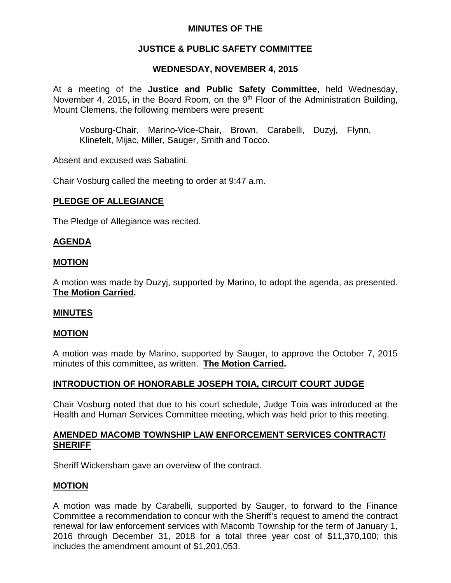## **MINUTES OF THE**

# **JUSTICE & PUBLIC SAFETY COMMITTEE**

## **WEDNESDAY, NOVEMBER 4, 2015**

At a meeting of the **Justice and Public Safety Committee**, held Wednesday, November 4, 2015, in the Board Room, on the  $9<sup>th</sup>$  Floor of the Administration Building, Mount Clemens, the following members were present:

Vosburg-Chair, Marino-Vice-Chair, Brown, Carabelli, Duzyj, Flynn, Klinefelt, Mijac, Miller, Sauger, Smith and Tocco.

Absent and excused was Sabatini.

Chair Vosburg called the meeting to order at 9:47 a.m.

### **PLEDGE OF ALLEGIANCE**

The Pledge of Allegiance was recited.

## **AGENDA**

### **MOTION**

A motion was made by Duzyj, supported by Marino, to adopt the agenda, as presented. **The Motion Carried.**

#### **MINUTES**

#### **MOTION**

A motion was made by Marino, supported by Sauger, to approve the October 7, 2015 minutes of this committee, as written. **The Motion Carried.**

## **INTRODUCTION OF HONORABLE JOSEPH TOIA, CIRCUIT COURT JUDGE**

Chair Vosburg noted that due to his court schedule, Judge Toia was introduced at the Health and Human Services Committee meeting, which was held prior to this meeting.

## **AMENDED MACOMB TOWNSHIP LAW ENFORCEMENT SERVICES CONTRACT/ SHERIFF**

Sheriff Wickersham gave an overview of the contract.

#### **MOTION**

A motion was made by Carabelli, supported by Sauger, to forward to the Finance Committee a recommendation to concur with the Sheriff's request to amend the contract renewal for law enforcement services with Macomb Township for the term of January 1, 2016 through December 31, 2018 for a total three year cost of \$11,370,100; this includes the amendment amount of \$1,201,053.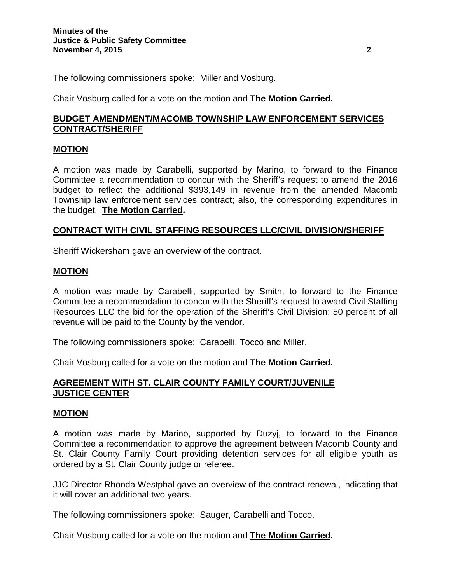The following commissioners spoke: Miller and Vosburg.

Chair Vosburg called for a vote on the motion and **The Motion Carried.**

# **BUDGET AMENDMENT/MACOMB TOWNSHIP LAW ENFORCEMENT SERVICES CONTRACT/SHERIFF**

## **MOTION**

A motion was made by Carabelli, supported by Marino, to forward to the Finance Committee a recommendation to concur with the Sheriff's request to amend the 2016 budget to reflect the additional \$393,149 in revenue from the amended Macomb Township law enforcement services contract; also, the corresponding expenditures in the budget. **The Motion Carried.**

### **CONTRACT WITH CIVIL STAFFING RESOURCES LLC/CIVIL DIVISION/SHERIFF**

Sheriff Wickersham gave an overview of the contract.

#### **MOTION**

A motion was made by Carabelli, supported by Smith, to forward to the Finance Committee a recommendation to concur with the Sheriff's request to award Civil Staffing Resources LLC the bid for the operation of the Sheriff's Civil Division; 50 percent of all revenue will be paid to the County by the vendor.

The following commissioners spoke: Carabelli, Tocco and Miller.

Chair Vosburg called for a vote on the motion and **The Motion Carried.**

## **AGREEMENT WITH ST. CLAIR COUNTY FAMILY COURT/JUVENILE JUSTICE CENTER**

#### **MOTION**

A motion was made by Marino, supported by Duzyj, to forward to the Finance Committee a recommendation to approve the agreement between Macomb County and St. Clair County Family Court providing detention services for all eligible youth as ordered by a St. Clair County judge or referee.

JJC Director Rhonda Westphal gave an overview of the contract renewal, indicating that it will cover an additional two years.

The following commissioners spoke: Sauger, Carabelli and Tocco.

Chair Vosburg called for a vote on the motion and **The Motion Carried.**